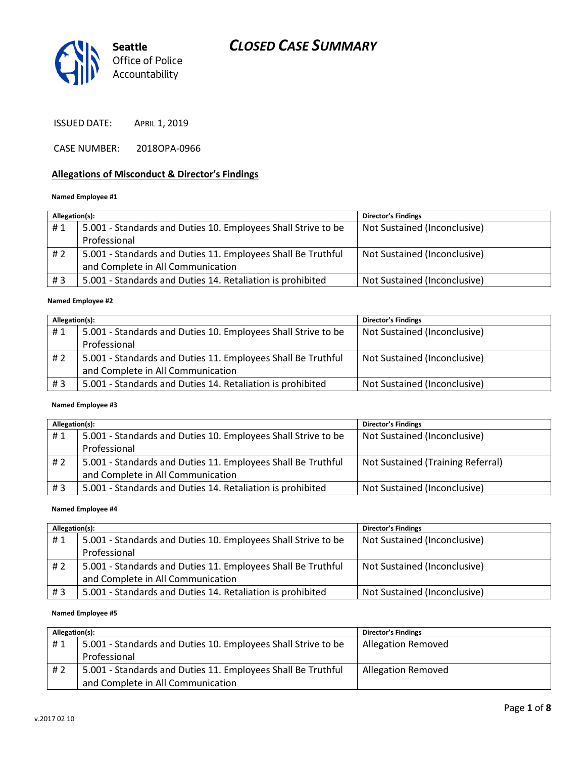

ISSUED DATE: APRIL 1, 2019

CASE NUMBER: 2018OPA-0966

#### **Allegations of Misconduct & Director's Findings**

#### **Named Employee #1**

| Allegation(s): |                                                               | <b>Director's Findings</b>   |
|----------------|---------------------------------------------------------------|------------------------------|
| #1             | 5.001 - Standards and Duties 10. Employees Shall Strive to be | Not Sustained (Inconclusive) |
|                | Professional                                                  |                              |
| #2             | 5.001 - Standards and Duties 11. Employees Shall Be Truthful  | Not Sustained (Inconclusive) |
|                | and Complete in All Communication                             |                              |
| #3             | 5.001 - Standards and Duties 14. Retaliation is prohibited    | Not Sustained (Inconclusive) |
|                |                                                               |                              |

#### **Named Employee #2**

| Allegation(s): |                                                               | <b>Director's Findings</b>   |
|----------------|---------------------------------------------------------------|------------------------------|
| #1             | 5.001 - Standards and Duties 10. Employees Shall Strive to be | Not Sustained (Inconclusive) |
|                | Professional                                                  |                              |
| #2             | 5.001 - Standards and Duties 11. Employees Shall Be Truthful  | Not Sustained (Inconclusive) |
|                | and Complete in All Communication                             |                              |
| # $3$          | 5.001 - Standards and Duties 14. Retaliation is prohibited    | Not Sustained (Inconclusive) |

#### **Named Employee #3**

| Allegation(s): |                                                               | <b>Director's Findings</b>        |
|----------------|---------------------------------------------------------------|-----------------------------------|
| #1             | 5.001 - Standards and Duties 10. Employees Shall Strive to be | Not Sustained (Inconclusive)      |
|                | Professional                                                  |                                   |
| #2             | 5.001 - Standards and Duties 11. Employees Shall Be Truthful  | Not Sustained (Training Referral) |
|                | and Complete in All Communication                             |                                   |
| # $3$          | 5.001 - Standards and Duties 14. Retaliation is prohibited    | Not Sustained (Inconclusive)      |

#### **Named Employee #4**

| Allegation(s): |                                                               | <b>Director's Findings</b>   |
|----------------|---------------------------------------------------------------|------------------------------|
| #1             | 5.001 - Standards and Duties 10. Employees Shall Strive to be | Not Sustained (Inconclusive) |
|                | Professional                                                  |                              |
| #2             | 5.001 - Standards and Duties 11. Employees Shall Be Truthful  | Not Sustained (Inconclusive) |
|                | and Complete in All Communication                             |                              |
| #3             | 5.001 - Standards and Duties 14. Retaliation is prohibited    | Not Sustained (Inconclusive) |

#### **Named Employee #5**

| Allegation(s): |                                                               | <b>Director's Findings</b> |
|----------------|---------------------------------------------------------------|----------------------------|
| #1             | 5.001 - Standards and Duties 10. Employees Shall Strive to be | <b>Allegation Removed</b>  |
|                | Professional                                                  |                            |
| # 2            | 5.001 - Standards and Duties 11. Employees Shall Be Truthful  | <b>Allegation Removed</b>  |
|                | and Complete in All Communication                             |                            |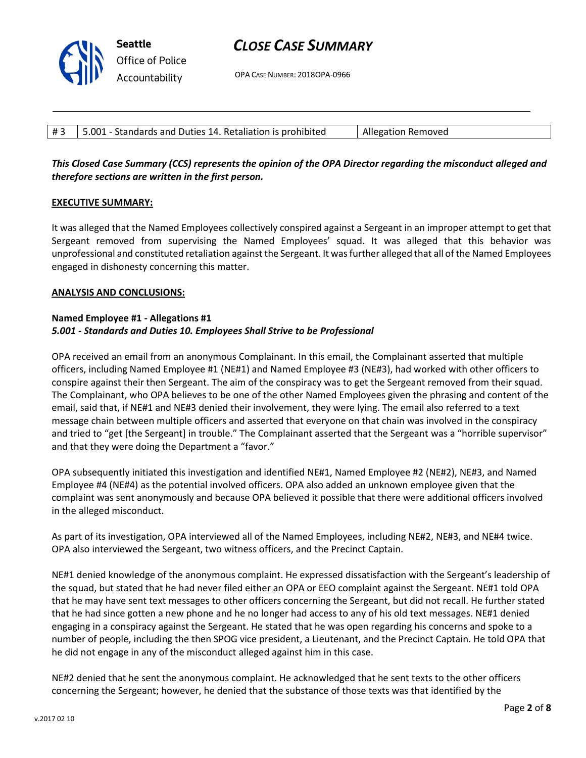OPA CASE NUMBER: 2018OPA-0966

| #3   5.001 - Standards and Duties 14. Retaliation is prohibited | Allegation Removed |
|-----------------------------------------------------------------|--------------------|

## *This Closed Case Summary (CCS) represents the opinion of the OPA Director regarding the misconduct alleged and therefore sections are written in the first person.*

### **EXECUTIVE SUMMARY:**

It was alleged that the Named Employees collectively conspired against a Sergeant in an improper attempt to get that Sergeant removed from supervising the Named Employees' squad. It was alleged that this behavior was unprofessional and constituted retaliation against the Sergeant. It was further alleged that all of the Named Employees engaged in dishonesty concerning this matter.

#### **ANALYSIS AND CONCLUSIONS:**

### **Named Employee #1 - Allegations #1** *5.001 - Standards and Duties 10. Employees Shall Strive to be Professional*

OPA received an email from an anonymous Complainant. In this email, the Complainant asserted that multiple officers, including Named Employee #1 (NE#1) and Named Employee #3 (NE#3), had worked with other officers to conspire against their then Sergeant. The aim of the conspiracy was to get the Sergeant removed from their squad. The Complainant, who OPA believes to be one of the other Named Employees given the phrasing and content of the email, said that, if NE#1 and NE#3 denied their involvement, they were lying. The email also referred to a text message chain between multiple officers and asserted that everyone on that chain was involved in the conspiracy and tried to "get [the Sergeant] in trouble." The Complainant asserted that the Sergeant was a "horrible supervisor" and that they were doing the Department a "favor."

OPA subsequently initiated this investigation and identified NE#1, Named Employee #2 (NE#2), NE#3, and Named Employee #4 (NE#4) as the potential involved officers. OPA also added an unknown employee given that the complaint was sent anonymously and because OPA believed it possible that there were additional officers involved in the alleged misconduct.

As part of its investigation, OPA interviewed all of the Named Employees, including NE#2, NE#3, and NE#4 twice. OPA also interviewed the Sergeant, two witness officers, and the Precinct Captain.

NE#1 denied knowledge of the anonymous complaint. He expressed dissatisfaction with the Sergeant's leadership of the squad, but stated that he had never filed either an OPA or EEO complaint against the Sergeant. NE#1 told OPA that he may have sent text messages to other officers concerning the Sergeant, but did not recall. He further stated that he had since gotten a new phone and he no longer had access to any of his old text messages. NE#1 denied engaging in a conspiracy against the Sergeant. He stated that he was open regarding his concerns and spoke to a number of people, including the then SPOG vice president, a Lieutenant, and the Precinct Captain. He told OPA that he did not engage in any of the misconduct alleged against him in this case.

NE#2 denied that he sent the anonymous complaint. He acknowledged that he sent texts to the other officers concerning the Sergeant; however, he denied that the substance of those texts was that identified by the

**Seattle** *Office of Police Accountability*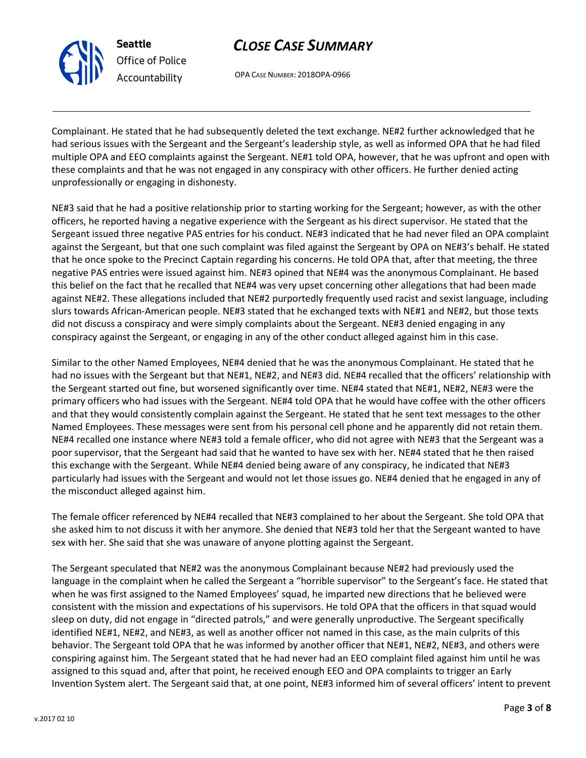

OPA CASE NUMBER: 2018OPA-0966

Complainant. He stated that he had subsequently deleted the text exchange. NE#2 further acknowledged that he had serious issues with the Sergeant and the Sergeant's leadership style, as well as informed OPA that he had filed multiple OPA and EEO complaints against the Sergeant. NE#1 told OPA, however, that he was upfront and open with these complaints and that he was not engaged in any conspiracy with other officers. He further denied acting unprofessionally or engaging in dishonesty.

NE#3 said that he had a positive relationship prior to starting working for the Sergeant; however, as with the other officers, he reported having a negative experience with the Sergeant as his direct supervisor. He stated that the Sergeant issued three negative PAS entries for his conduct. NE#3 indicated that he had never filed an OPA complaint against the Sergeant, but that one such complaint was filed against the Sergeant by OPA on NE#3's behalf. He stated that he once spoke to the Precinct Captain regarding his concerns. He told OPA that, after that meeting, the three negative PAS entries were issued against him. NE#3 opined that NE#4 was the anonymous Complainant. He based this belief on the fact that he recalled that NE#4 was very upset concerning other allegations that had been made against NE#2. These allegations included that NE#2 purportedly frequently used racist and sexist language, including slurs towards African-American people. NE#3 stated that he exchanged texts with NE#1 and NE#2, but those texts did not discuss a conspiracy and were simply complaints about the Sergeant. NE#3 denied engaging in any conspiracy against the Sergeant, or engaging in any of the other conduct alleged against him in this case.

Similar to the other Named Employees, NE#4 denied that he was the anonymous Complainant. He stated that he had no issues with the Sergeant but that NE#1, NE#2, and NE#3 did. NE#4 recalled that the officers' relationship with the Sergeant started out fine, but worsened significantly over time. NE#4 stated that NE#1, NE#2, NE#3 were the primary officers who had issues with the Sergeant. NE#4 told OPA that he would have coffee with the other officers and that they would consistently complain against the Sergeant. He stated that he sent text messages to the other Named Employees. These messages were sent from his personal cell phone and he apparently did not retain them. NE#4 recalled one instance where NE#3 told a female officer, who did not agree with NE#3 that the Sergeant was a poor supervisor, that the Sergeant had said that he wanted to have sex with her. NE#4 stated that he then raised this exchange with the Sergeant. While NE#4 denied being aware of any conspiracy, he indicated that NE#3 particularly had issues with the Sergeant and would not let those issues go. NE#4 denied that he engaged in any of the misconduct alleged against him.

The female officer referenced by NE#4 recalled that NE#3 complained to her about the Sergeant. She told OPA that she asked him to not discuss it with her anymore. She denied that NE#3 told her that the Sergeant wanted to have sex with her. She said that she was unaware of anyone plotting against the Sergeant.

The Sergeant speculated that NE#2 was the anonymous Complainant because NE#2 had previously used the language in the complaint when he called the Sergeant a "horrible supervisor" to the Sergeant's face. He stated that when he was first assigned to the Named Employees' squad, he imparted new directions that he believed were consistent with the mission and expectations of his supervisors. He told OPA that the officers in that squad would sleep on duty, did not engage in "directed patrols," and were generally unproductive. The Sergeant specifically identified NE#1, NE#2, and NE#3, as well as another officer not named in this case, as the main culprits of this behavior. The Sergeant told OPA that he was informed by another officer that NE#1, NE#2, NE#3, and others were conspiring against him. The Sergeant stated that he had never had an EEO complaint filed against him until he was assigned to this squad and, after that point, he received enough EEO and OPA complaints to trigger an Early Invention System alert. The Sergeant said that, at one point, NE#3 informed him of several officers' intent to prevent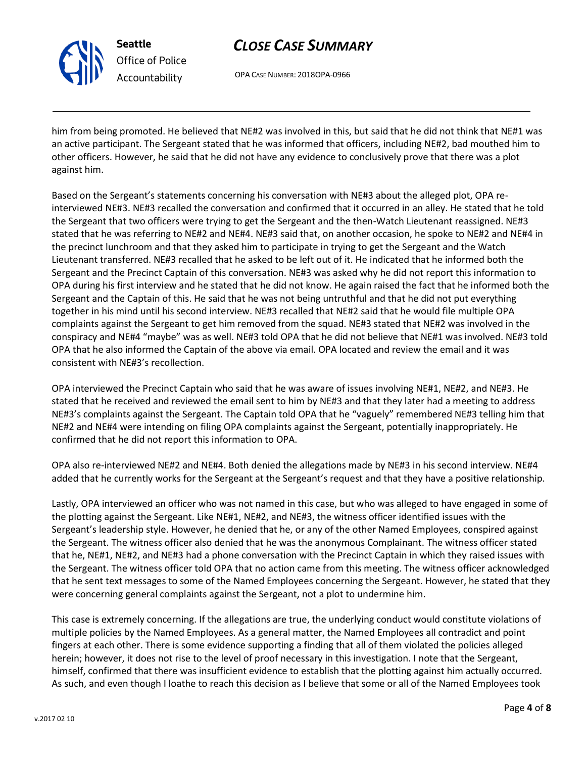

OPA CASE NUMBER: 2018OPA-0966

him from being promoted. He believed that NE#2 was involved in this, but said that he did not think that NE#1 was an active participant. The Sergeant stated that he was informed that officers, including NE#2, bad mouthed him to other officers. However, he said that he did not have any evidence to conclusively prove that there was a plot against him.

Based on the Sergeant's statements concerning his conversation with NE#3 about the alleged plot, OPA reinterviewed NE#3. NE#3 recalled the conversation and confirmed that it occurred in an alley. He stated that he told the Sergeant that two officers were trying to get the Sergeant and the then-Watch Lieutenant reassigned. NE#3 stated that he was referring to NE#2 and NE#4. NE#3 said that, on another occasion, he spoke to NE#2 and NE#4 in the precinct lunchroom and that they asked him to participate in trying to get the Sergeant and the Watch Lieutenant transferred. NE#3 recalled that he asked to be left out of it. He indicated that he informed both the Sergeant and the Precinct Captain of this conversation. NE#3 was asked why he did not report this information to OPA during his first interview and he stated that he did not know. He again raised the fact that he informed both the Sergeant and the Captain of this. He said that he was not being untruthful and that he did not put everything together in his mind until his second interview. NE#3 recalled that NE#2 said that he would file multiple OPA complaints against the Sergeant to get him removed from the squad. NE#3 stated that NE#2 was involved in the conspiracy and NE#4 "maybe" was as well. NE#3 told OPA that he did not believe that NE#1 was involved. NE#3 told OPA that he also informed the Captain of the above via email. OPA located and review the email and it was consistent with NE#3's recollection.

OPA interviewed the Precinct Captain who said that he was aware of issues involving NE#1, NE#2, and NE#3. He stated that he received and reviewed the email sent to him by NE#3 and that they later had a meeting to address NE#3's complaints against the Sergeant. The Captain told OPA that he "vaguely" remembered NE#3 telling him that NE#2 and NE#4 were intending on filing OPA complaints against the Sergeant, potentially inappropriately. He confirmed that he did not report this information to OPA.

OPA also re-interviewed NE#2 and NE#4. Both denied the allegations made by NE#3 in his second interview. NE#4 added that he currently works for the Sergeant at the Sergeant's request and that they have a positive relationship.

Lastly, OPA interviewed an officer who was not named in this case, but who was alleged to have engaged in some of the plotting against the Sergeant. Like NE#1, NE#2, and NE#3, the witness officer identified issues with the Sergeant's leadership style. However, he denied that he, or any of the other Named Employees, conspired against the Sergeant. The witness officer also denied that he was the anonymous Complainant. The witness officer stated that he, NE#1, NE#2, and NE#3 had a phone conversation with the Precinct Captain in which they raised issues with the Sergeant. The witness officer told OPA that no action came from this meeting. The witness officer acknowledged that he sent text messages to some of the Named Employees concerning the Sergeant. However, he stated that they were concerning general complaints against the Sergeant, not a plot to undermine him.

This case is extremely concerning. If the allegations are true, the underlying conduct would constitute violations of multiple policies by the Named Employees. As a general matter, the Named Employees all contradict and point fingers at each other. There is some evidence supporting a finding that all of them violated the policies alleged herein; however, it does not rise to the level of proof necessary in this investigation. I note that the Sergeant, himself, confirmed that there was insufficient evidence to establish that the plotting against him actually occurred. As such, and even though I loathe to reach this decision as I believe that some or all of the Named Employees took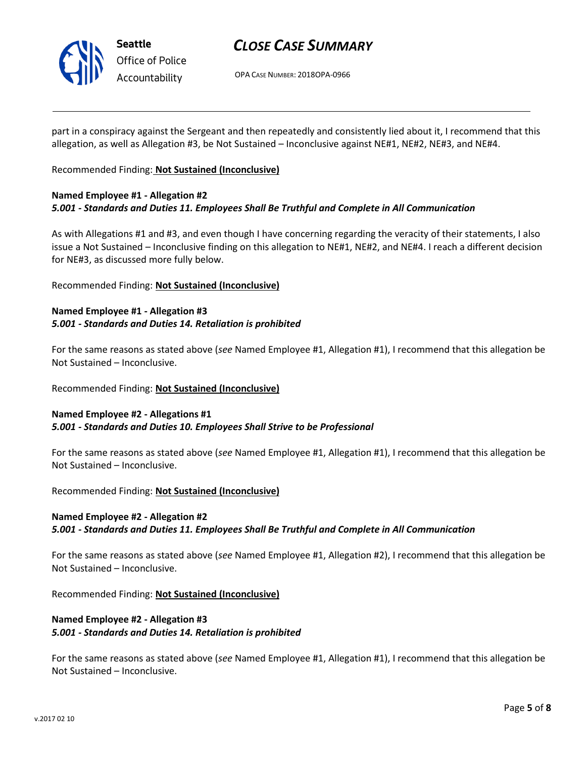

OPA CASE NUMBER: 2018OPA-0966

part in a conspiracy against the Sergeant and then repeatedly and consistently lied about it, I recommend that this allegation, as well as Allegation #3, be Not Sustained – Inconclusive against NE#1, NE#2, NE#3, and NE#4.

Recommended Finding: **Not Sustained (Inconclusive)**

### **Named Employee #1 - Allegation #2** *5.001 - Standards and Duties 11. Employees Shall Be Truthful and Complete in All Communication*

As with Allegations #1 and #3, and even though I have concerning regarding the veracity of their statements, I also issue a Not Sustained – Inconclusive finding on this allegation to NE#1, NE#2, and NE#4. I reach a different decision for NE#3, as discussed more fully below.

Recommended Finding: **Not Sustained (Inconclusive)**

### **Named Employee #1 - Allegation #3** *5.001 - Standards and Duties 14. Retaliation is prohibited*

For the same reasons as stated above (*see* Named Employee #1, Allegation #1), I recommend that this allegation be Not Sustained – Inconclusive.

Recommended Finding: **Not Sustained (Inconclusive)**

## **Named Employee #2 - Allegations #1** *5.001 - Standards and Duties 10. Employees Shall Strive to be Professional*

For the same reasons as stated above (*see* Named Employee #1, Allegation #1), I recommend that this allegation be Not Sustained – Inconclusive.

Recommended Finding: **Not Sustained (Inconclusive)**

## **Named Employee #2 - Allegation #2**

*5.001 - Standards and Duties 11. Employees Shall Be Truthful and Complete in All Communication*

For the same reasons as stated above (*see* Named Employee #1, Allegation #2), I recommend that this allegation be Not Sustained – Inconclusive.

Recommended Finding: **Not Sustained (Inconclusive)**

## **Named Employee #2 - Allegation #3** *5.001 - Standards and Duties 14. Retaliation is prohibited*

For the same reasons as stated above (*see* Named Employee #1, Allegation #1), I recommend that this allegation be Not Sustained – Inconclusive.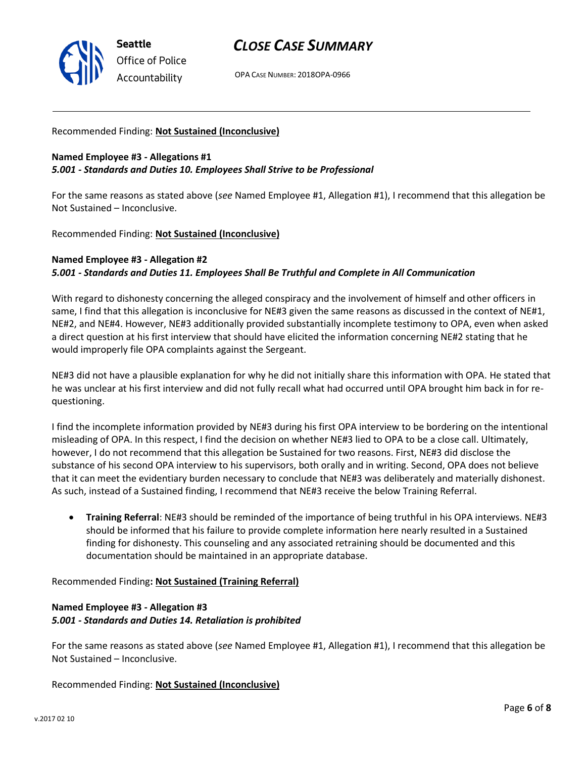

OPA CASE NUMBER: 2018OPA-0966

#### Recommended Finding: **Not Sustained (Inconclusive)**

### **Named Employee #3 - Allegations #1** *5.001 - Standards and Duties 10. Employees Shall Strive to be Professional*

For the same reasons as stated above (*see* Named Employee #1, Allegation #1), I recommend that this allegation be Not Sustained – Inconclusive.

Recommended Finding: **Not Sustained (Inconclusive)**

### **Named Employee #3 - Allegation #2**

### *5.001 - Standards and Duties 11. Employees Shall Be Truthful and Complete in All Communication*

With regard to dishonesty concerning the alleged conspiracy and the involvement of himself and other officers in same, I find that this allegation is inconclusive for NE#3 given the same reasons as discussed in the context of NE#1, NE#2, and NE#4. However, NE#3 additionally provided substantially incomplete testimony to OPA, even when asked a direct question at his first interview that should have elicited the information concerning NE#2 stating that he would improperly file OPA complaints against the Sergeant.

NE#3 did not have a plausible explanation for why he did not initially share this information with OPA. He stated that he was unclear at his first interview and did not fully recall what had occurred until OPA brought him back in for requestioning.

I find the incomplete information provided by NE#3 during his first OPA interview to be bordering on the intentional misleading of OPA. In this respect, I find the decision on whether NE#3 lied to OPA to be a close call. Ultimately, however, I do not recommend that this allegation be Sustained for two reasons. First, NE#3 did disclose the substance of his second OPA interview to his supervisors, both orally and in writing. Second, OPA does not believe that it can meet the evidentiary burden necessary to conclude that NE#3 was deliberately and materially dishonest. As such, instead of a Sustained finding, I recommend that NE#3 receive the below Training Referral.

• **Training Referral**: NE#3 should be reminded of the importance of being truthful in his OPA interviews. NE#3 should be informed that his failure to provide complete information here nearly resulted in a Sustained finding for dishonesty. This counseling and any associated retraining should be documented and this documentation should be maintained in an appropriate database.

#### Recommended Finding**: Not Sustained (Training Referral)**

## **Named Employee #3 - Allegation #3** *5.001 - Standards and Duties 14. Retaliation is prohibited*

For the same reasons as stated above (*see* Named Employee #1, Allegation #1), I recommend that this allegation be Not Sustained – Inconclusive.

#### Recommended Finding: **Not Sustained (Inconclusive)**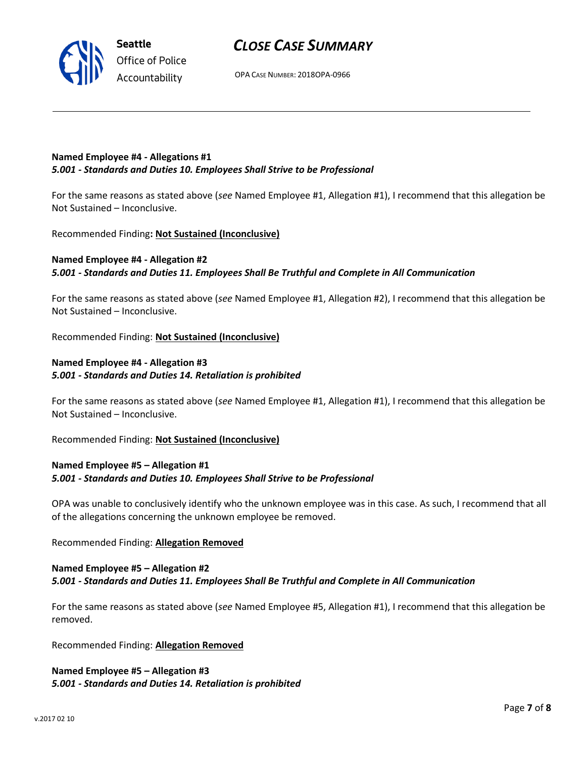**Named Employee #4 - Allegations #1** *5.001 - Standards and Duties 10. Employees Shall Strive to be Professional*

For the same reasons as stated above (*see* Named Employee #1, Allegation #1), I recommend that this allegation be Not Sustained – Inconclusive.

Recommended Finding**: Not Sustained (Inconclusive)**

**Seattle**

*Office of Police Accountability*

## **Named Employee #4 - Allegation #2** *5.001 - Standards and Duties 11. Employees Shall Be Truthful and Complete in All Communication*

For the same reasons as stated above (*see* Named Employee #1, Allegation #2), I recommend that this allegation be Not Sustained – Inconclusive.

Recommended Finding: **Not Sustained (Inconclusive)**

### **Named Employee #4 - Allegation #3** *5.001 - Standards and Duties 14. Retaliation is prohibited*

For the same reasons as stated above (*see* Named Employee #1, Allegation #1), I recommend that this allegation be Not Sustained – Inconclusive.

Recommended Finding: **Not Sustained (Inconclusive)**

### **Named Employee #5 – Allegation #1** *5.001 - Standards and Duties 10. Employees Shall Strive to be Professional*

OPA was unable to conclusively identify who the unknown employee was in this case. As such, I recommend that all of the allegations concerning the unknown employee be removed.

Recommended Finding: **Allegation Removed**

#### **Named Employee #5 – Allegation #2** *5.001 - Standards and Duties 11. Employees Shall Be Truthful and Complete in All Communication*

For the same reasons as stated above (*see* Named Employee #5, Allegation #1), I recommend that this allegation be removed.

Recommended Finding: **Allegation Removed**

**Named Employee #5 – Allegation #3** *5.001 - Standards and Duties 14. Retaliation is prohibited*